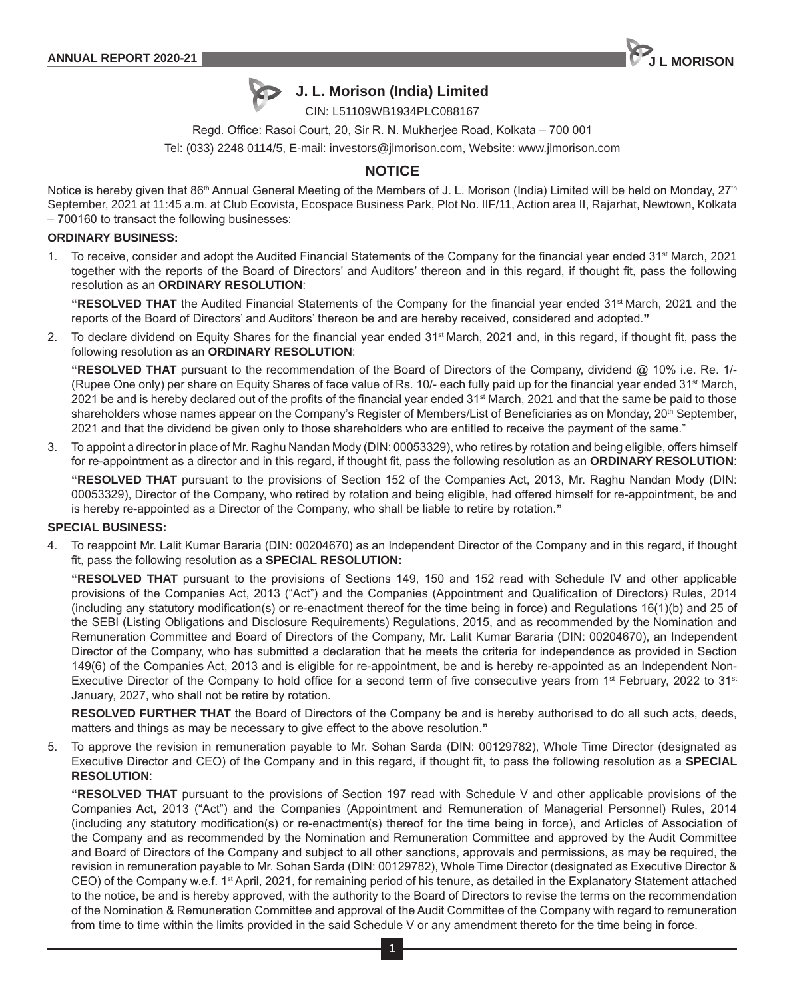



# **J. L. Morison (India) Limited**

CIN: L51109WB1934PLC088167

Regd. Office: Rasoi Court, 20, Sir R. N. Mukherjee Road, Kolkata – 700 001

Tel: (033) 2248 0114/5, E-mail: investors@jlmorison.com, Website: www.jlmorison.com

# **NOTICE**

Notice is hereby given that 86<sup>th</sup> Annual General Meeting of the Members of J. L. Morison (India) Limited will be held on Monday, 27<sup>th</sup> September, 2021 at 11:45 a.m. at Club Ecovista, Ecospace Business Park, Plot No. IIF/11, Action area II, Rajarhat, Newtown, Kolkata – 700160 to transact the following businesses:

### **ORDINARY BUSINESS:**

1. To receive, consider and adopt the Audited Financial Statements of the Company for the financial year ended 31<sup>st</sup> March, 2021 together with the reports of the Board of Directors' and Auditors' thereon and in this regard, if thought fit, pass the following resolution as an **ORDINARY RESOLUTION**:

"RESOLVED THAT the Audited Financial Statements of the Company for the financial year ended 31<sup>st</sup> March, 2021 and the reports of the Board of Directors' and Auditors' thereon be and are hereby received, considered and adopted.**"**

2. To declare dividend on Equity Shares for the financial year ended 31<sup>st</sup> March, 2021 and, in this regard, if thought fit, pass the following resolution as an **ORDINARY RESOLUTION**:

**"RESOLVED THAT** pursuant to the recommendation of the Board of Directors of the Company, dividend @ 10% i.e. Re. 1/- (Rupee One only) per share on Equity Shares of face value of Rs. 10/- each fully paid up for the financial year ended 31st March, 2021 be and is hereby declared out of the profits of the financial year ended 31<sup>st</sup> March, 2021 and that the same be paid to those shareholders whose names appear on the Company's Register of Members/List of Beneficiaries as on Monday, 20<sup>th</sup> September, 2021 and that the dividend be given only to those shareholders who are entitled to receive the payment of the same."

3. To appoint a director in place of Mr. Raghu Nandan Mody (DIN: 00053329), who retires by rotation and being eligible, offers himself for re-appointment as a director and in this regard, if thought fit, pass the following resolution as an **ORDINARY RESOLUTION**:

**"RESOLVED THAT** pursuant to the provisions of Section 152 of the Companies Act, 2013, Mr. Raghu Nandan Mody (DIN: 00053329), Director of the Company, who retired by rotation and being eligible, had offered himself for re-appointment, be and is hereby re-appointed as a Director of the Company, who shall be liable to retire by rotation.**"**

## **SPECIAL BUSINESS:**

4. To reappoint Mr. Lalit Kumar Bararia (DIN: 00204670) as an Independent Director of the Company and in this regard, if thought fit, pass the following resolution as a **SPECIAL RESOLUTION:**

**"RESOLVED THAT** pursuant to the provisions of Sections 149, 150 and 152 read with Schedule IV and other applicable provisions of the Companies Act, 2013 ("Act") and the Companies (Appointment and Qualification of Directors) Rules, 2014 (including any statutory modification(s) or re-enactment thereof for the time being in force) and Regulations 16(1)(b) and 25 of the SEBI (Listing Obligations and Disclosure Requirements) Regulations, 2015, and as recommended by the Nomination and Remuneration Committee and Board of Directors of the Company, Mr. Lalit Kumar Bararia (DIN: 00204670), an Independent Director of the Company, who has submitted a declaration that he meets the criteria for independence as provided in Section 149(6) of the Companies Act, 2013 and is eligible for re-appointment, be and is hereby re-appointed as an Independent Non-Executive Director of the Company to hold office for a second term of five consecutive years from 1<sup>st</sup> February, 2022 to 31<sup>st</sup> January, 2027, who shall not be retire by rotation.

**RESOLVED FURTHER THAT** the Board of Directors of the Company be and is hereby authorised to do all such acts, deeds, matters and things as may be necessary to give effect to the above resolution.**"**

5. To approve the revision in remuneration payable to Mr. Sohan Sarda (DIN: 00129782), Whole Time Director (designated as Executive Director and CEO) of the Company and in this regard, if thought fit, to pass the following resolution as a **SPECIAL RESOLUTION**:

**"RESOLVED THAT** pursuant to the provisions of Section 197 read with Schedule V and other applicable provisions of the Companies Act, 2013 ("Act") and the Companies (Appointment and Remuneration of Managerial Personnel) Rules, 2014 (including any statutory modification(s) or re-enactment(s) thereof for the time being in force), and Articles of Association of the Company and as recommended by the Nomination and Remuneration Committee and approved by the Audit Committee and Board of Directors of the Company and subject to all other sanctions, approvals and permissions, as may be required, the revision in remuneration payable to Mr. Sohan Sarda (DIN: 00129782), Whole Time Director (designated as Executive Director & CEO) of the Company w.e.f. 1st April, 2021, for remaining period of his tenure, as detailed in the Explanatory Statement attached to the notice, be and is hereby approved, with the authority to the Board of Directors to revise the terms on the recommendation of the Nomination & Remuneration Committee and approval of the Audit Committee of the Company with regard to remuneration from time to time within the limits provided in the said Schedule V or any amendment thereto for the time being in force.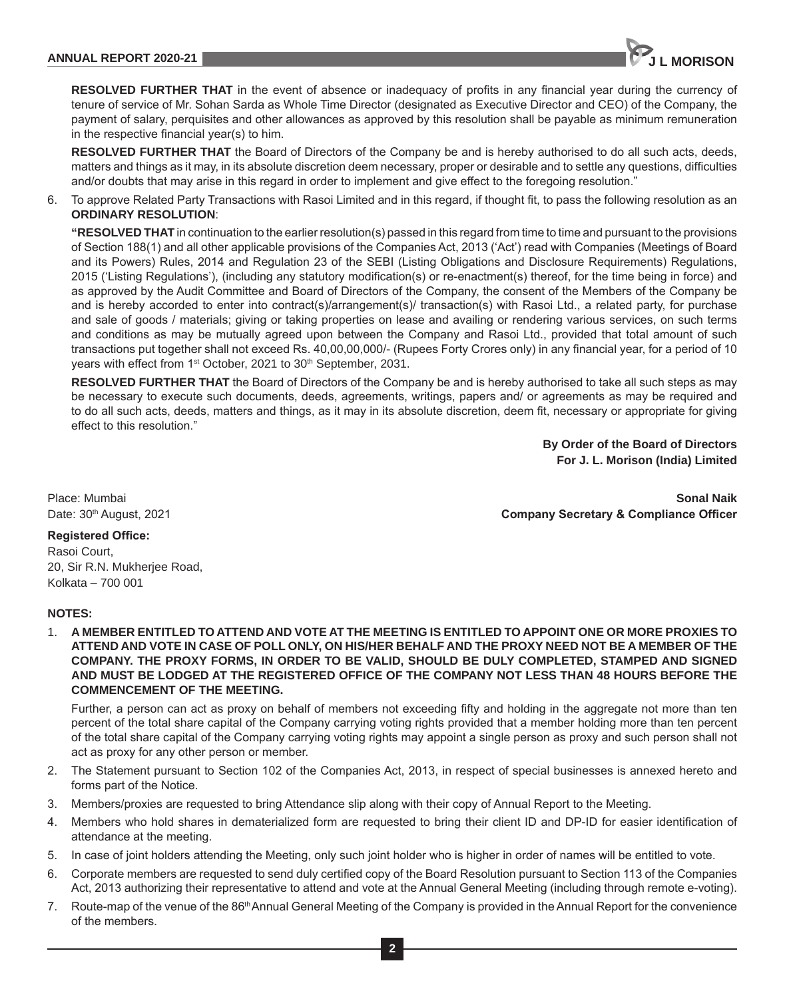

**RESOLVED FURTHER THAT** in the event of absence or inadequacy of profits in any financial year during the currency of tenure of service of Mr. Sohan Sarda as Whole Time Director (designated as Executive Director and CEO) of the Company, the payment of salary, perquisites and other allowances as approved by this resolution shall be payable as minimum remuneration in the respective financial year(s) to him.

**RESOLVED FURTHER THAT** the Board of Directors of the Company be and is hereby authorised to do all such acts, deeds, matters and things as it may, in its absolute discretion deem necessary, proper or desirable and to settle any questions, difficulties and/or doubts that may arise in this regard in order to implement and give effect to the foregoing resolution."

6. To approve Related Party Transactions with Rasoi Limited and in this regard, if thought fit, to pass the following resolution as an **ORDINARY RESOLUTION**:

**"RESOLVED THAT** in continuation to the earlier resolution(s) passed in this regard from time to time and pursuant to the provisions of Section 188(1) and all other applicable provisions of the Companies Act, 2013 ('Act') read with Companies (Meetings of Board and its Powers) Rules, 2014 and Regulation 23 of the SEBI (Listing Obligations and Disclosure Requirements) Regulations, 2015 ('Listing Regulations'), (including any statutory modification(s) or re-enactment(s) thereof, for the time being in force) and as approved by the Audit Committee and Board of Directors of the Company, the consent of the Members of the Company be and is hereby accorded to enter into contract(s)/arrangement(s)/ transaction(s) with Rasoi Ltd., a related party, for purchase and sale of goods / materials; giving or taking properties on lease and availing or rendering various services, on such terms and conditions as may be mutually agreed upon between the Company and Rasoi Ltd., provided that total amount of such transactions put together shall not exceed Rs. 40,00,00,000/- (Rupees Forty Crores only) in any financial year, for a period of 10 years with effect from 1<sup>st</sup> October, 2021 to 30<sup>th</sup> September, 2031.

**RESOLVED FURTHER THAT** the Board of Directors of the Company be and is hereby authorised to take all such steps as may be necessary to execute such documents, deeds, agreements, writings, papers and/ or agreements as may be required and to do all such acts, deeds, matters and things, as it may in its absolute discretion, deem fit, necessary or appropriate for giving effect to this resolution."

> **By Order of the Board of Directors For J. L. Morison (India) Limited**

Place: Mumbai **Sonal Naik** Date: 30th August, 2021 **Company Secretary & Compliance Officer**

## **Registered Office:**

Rasoi Court, 20, Sir R.N. Mukherjee Road, Kolkata – 700 001

## **NOTES:**

1. **A MEMBER ENTITLED TO ATTEND AND VOTE AT THE MEETING IS ENTITLED TO APPOINT ONE OR MORE PROXIES TO ATTEND AND VOTE IN CASE OF POLL ONLY, ON HIS/HER BEHALF AND THE PROXY NEED NOT BE A MEMBER OF THE COMPANY. THE PROXY FORMS, IN ORDER TO BE VALID, SHOULD BE DULY COMPLETED, STAMPED AND SIGNED AND MUST BE LODGED AT THE REGISTERED OFFICE OF THE COMPANY NOT LESS THAN 48 HOURS BEFORE THE COMMENCEMENT OF THE MEETING.**

Further, a person can act as proxy on behalf of members not exceeding fifty and holding in the aggregate not more than ten percent of the total share capital of the Company carrying voting rights provided that a member holding more than ten percent of the total share capital of the Company carrying voting rights may appoint a single person as proxy and such person shall not act as proxy for any other person or member.

- 2. The Statement pursuant to Section 102 of the Companies Act, 2013, in respect of special businesses is annexed hereto and forms part of the Notice.
- 3. Members/proxies are requested to bring Attendance slip along with their copy of Annual Report to the Meeting.
- 4. Members who hold shares in dematerialized form are requested to bring their client ID and DP-ID for easier identification of attendance at the meeting.
- 5. In case of joint holders attending the Meeting, only such joint holder who is higher in order of names will be entitled to vote.
- 6. Corporate members are requested to send duly certified copy of the Board Resolution pursuant to Section 113 of the Companies Act, 2013 authorizing their representative to attend and vote at the Annual General Meeting (including through remote e-voting).
- 7. Route-map of the venue of the 86<sup>th</sup> Annual General Meeting of the Company is provided in the Annual Report for the convenience of the members.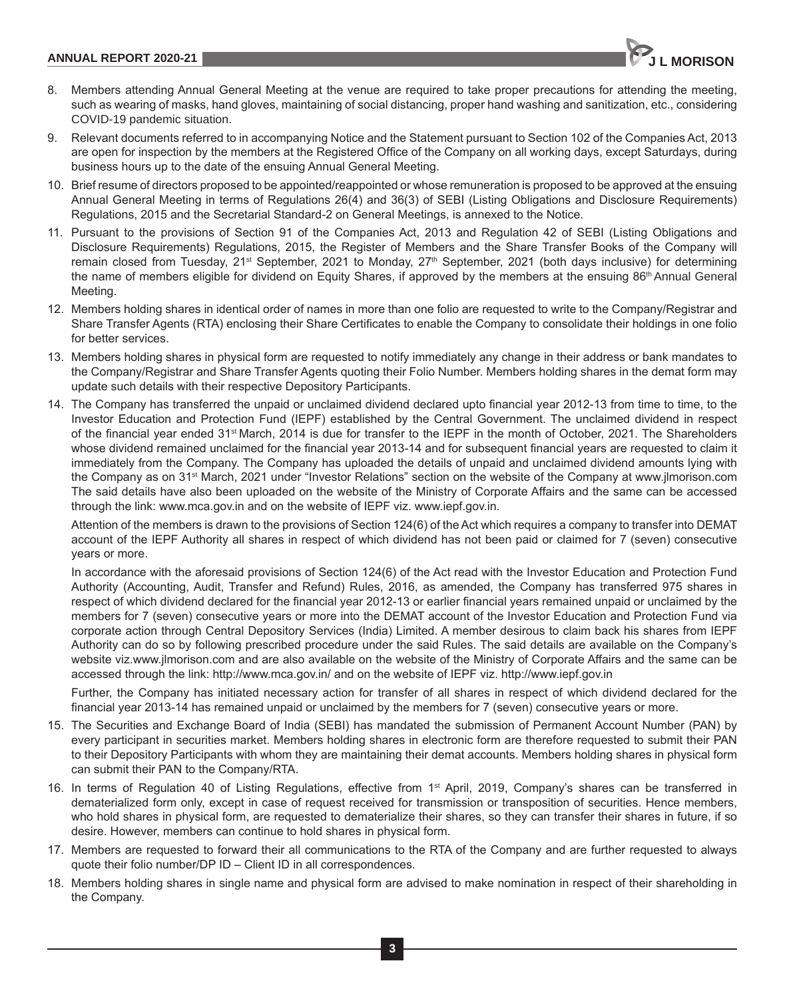

- 8. Members attending Annual General Meeting at the venue are required to take proper precautions for attending the meeting, such as wearing of masks, hand gloves, maintaining of social distancing, proper hand washing and sanitization, etc., considering COVID-19 pandemic situation.
- 9. Relevant documents referred to in accompanying Notice and the Statement pursuant to Section 102 of the Companies Act, 2013 are open for inspection by the members at the Registered Office of the Company on all working days, except Saturdays, during business hours up to the date of the ensuing Annual General Meeting.
- 10. Brief resume of directors proposed to be appointed/reappointed or whose remuneration is proposed to be approved at the ensuing Annual General Meeting in terms of Regulations 26(4) and 36(3) of SEBI (Listing Obligations and Disclosure Requirements) Regulations, 2015 and the Secretarial Standard-2 on General Meetings, is annexed to the Notice.
- 11. Pursuant to the provisions of Section 91 of the Companies Act, 2013 and Regulation 42 of SEBI (Listing Obligations and Disclosure Requirements) Regulations, 2015, the Register of Members and the Share Transfer Books of the Company will remain closed from Tuesday, 21<sup>st</sup> September, 2021 to Monday, 27<sup>th</sup> September, 2021 (both days inclusive) for determining the name of members eligible for dividend on Equity Shares, if approved by the members at the ensuing 86<sup>th</sup> Annual General Meeting.
- 12. Members holding shares in identical order of names in more than one folio are requested to write to the Company/Registrar and Share Transfer Agents (RTA) enclosing their Share Certificates to enable the Company to consolidate their holdings in one folio for better services.
- 13. Members holding shares in physical form are requested to notify immediately any change in their address or bank mandates to the Company/Registrar and Share Transfer Agents quoting their Folio Number. Members holding shares in the demat form may update such details with their respective Depository Participants.
- 14. The Company has transferred the unpaid or unclaimed dividend declared upto financial year 2012-13 from time to time, to the Investor Education and Protection Fund (IEPF) established by the Central Government. The unclaimed dividend in respect of the financial year ended 31<sup>st</sup> March, 2014 is due for transfer to the IEPF in the month of October, 2021. The Shareholders whose dividend remained unclaimed for the financial year 2013-14 and for subsequent financial years are requested to claim it immediately from the Company. The Company has uploaded the details of unpaid and unclaimed dividend amounts lying with the Company as on 31st March, 2021 under "Investor Relations" section on the website of the Company at www.jlmorison.com The said details have also been uploaded on the website of the Ministry of Corporate Affairs and the same can be accessed through the link: www.mca.gov.in and on the website of IEPF viz. www.iepf.gov.in.

Attention of the members is drawn to the provisions of Section 124(6) of the Act which requires a company to transfer into DEMAT account of the IEPF Authority all shares in respect of which dividend has not been paid or claimed for 7 (seven) consecutive years or more.

In accordance with the aforesaid provisions of Section 124(6) of the Act read with the Investor Education and Protection Fund Authority (Accounting, Audit, Transfer and Refund) Rules, 2016, as amended, the Company has transferred 975 shares in respect of which dividend declared for the financial year 2012-13 or earlier financial years remained unpaid or unclaimed by the members for 7 (seven) consecutive years or more into the DEMAT account of the Investor Education and Protection Fund via corporate action through Central Depository Services (India) Limited. A member desirous to claim back his shares from IEPF Authority can do so by following prescribed procedure under the said Rules. The said details are available on the Company's website viz.www.jlmorison.com and are also available on the website of the Ministry of Corporate Affairs and the same can be accessed through the link: http://www.mca.gov.in/ and on the website of IEPF viz. http://www.iepf.gov.in

Further, the Company has initiated necessary action for transfer of all shares in respect of which dividend declared for the financial year 2013-14 has remained unpaid or unclaimed by the members for 7 (seven) consecutive years or more.

- 15. The Securities and Exchange Board of India (SEBI) has mandated the submission of Permanent Account Number (PAN) by every participant in securities market. Members holding shares in electronic form are therefore requested to submit their PAN to their Depository Participants with whom they are maintaining their demat accounts. Members holding shares in physical form can submit their PAN to the Company/RTA.
- 16. In terms of Regulation 40 of Listing Regulations, effective from 1<sup>st</sup> April, 2019, Company's shares can be transferred in dematerialized form only, except in case of request received for transmission or transposition of securities. Hence members, who hold shares in physical form, are requested to dematerialize their shares, so they can transfer their shares in future, if so desire. However, members can continue to hold shares in physical form.
- 17. Members are requested to forward their all communications to the RTA of the Company and are further requested to always quote their folio number/DP ID – Client ID in all correspondences.
- 18. Members holding shares in single name and physical form are advised to make nomination in respect of their shareholding in the Company.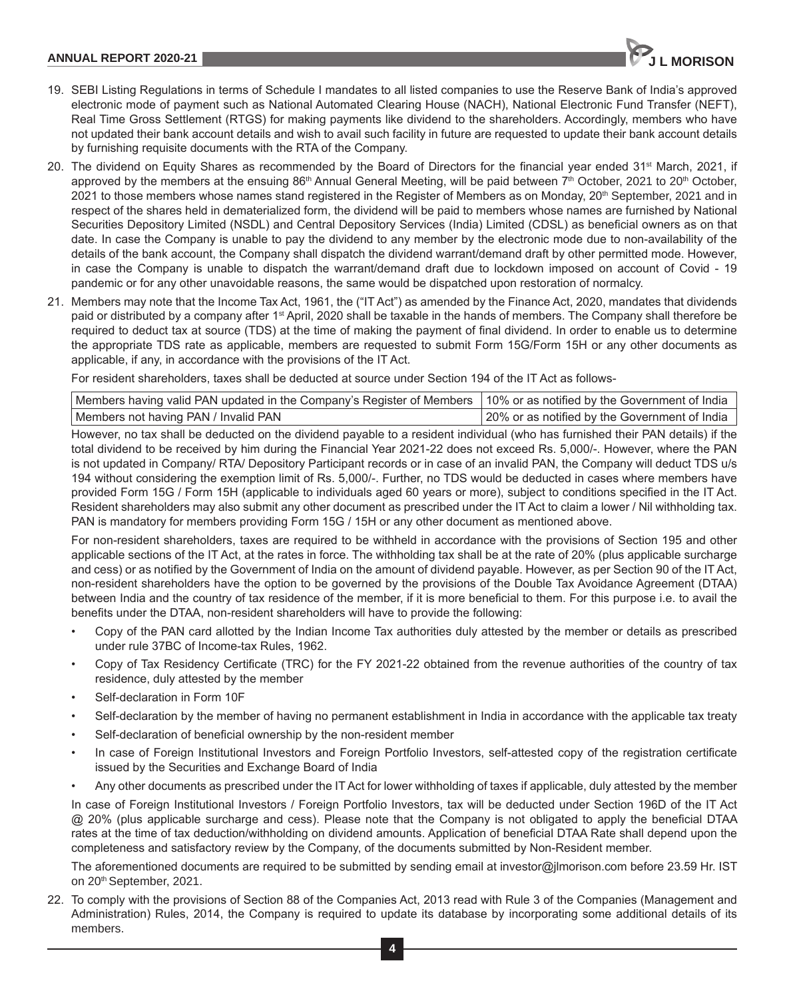

- 19. SEBI Listing Regulations in terms of Schedule I mandates to all listed companies to use the Reserve Bank of India's approved electronic mode of payment such as National Automated Clearing House (NACH), National Electronic Fund Transfer (NEFT), Real Time Gross Settlement (RTGS) for making payments like dividend to the shareholders. Accordingly, members who have not updated their bank account details and wish to avail such facility in future are requested to update their bank account details by furnishing requisite documents with the RTA of the Company.
- 20. The dividend on Equity Shares as recommended by the Board of Directors for the financial year ended 31<sup>st</sup> March, 2021, if approved by the members at the ensuing 86<sup>th</sup> Annual General Meeting, will be paid between 7<sup>th</sup> October, 2021 to 20<sup>th</sup> October, 2021 to those members whose names stand registered in the Register of Members as on Monday, 20<sup>th</sup> September, 2021 and in respect of the shares held in dematerialized form, the dividend will be paid to members whose names are furnished by National Securities Depository Limited (NSDL) and Central Depository Services (India) Limited (CDSL) as beneficial owners as on that date. In case the Company is unable to pay the dividend to any member by the electronic mode due to non-availability of the details of the bank account, the Company shall dispatch the dividend warrant/demand draft by other permitted mode. However, in case the Company is unable to dispatch the warrant/demand draft due to lockdown imposed on account of Covid - 19 pandemic or for any other unavoidable reasons, the same would be dispatched upon restoration of normalcy.
- 21. Members may note that the Income Tax Act, 1961, the ("IT Act") as amended by the Finance Act, 2020, mandates that dividends paid or distributed by a company after 1st April, 2020 shall be taxable in the hands of members. The Company shall therefore be required to deduct tax at source (TDS) at the time of making the payment of final dividend. In order to enable us to determine the appropriate TDS rate as applicable, members are requested to submit Form 15G/Form 15H or any other documents as applicable, if any, in accordance with the provisions of the IT Act.

For resident shareholders, taxes shall be deducted at source under Section 194 of the IT Act as follows-

| Members having valid PAN updated in the Company's Register of Members 10% or as notified by the Government of India |                                               |
|---------------------------------------------------------------------------------------------------------------------|-----------------------------------------------|
| Members not having PAN / Invalid PAN                                                                                | 20% or as notified by the Government of India |

However, no tax shall be deducted on the dividend payable to a resident individual (who has furnished their PAN details) if the total dividend to be received by him during the Financial Year 2021-22 does not exceed Rs. 5,000/-. However, where the PAN is not updated in Company/ RTA/ Depository Participant records or in case of an invalid PAN, the Company will deduct TDS u/s 194 without considering the exemption limit of Rs. 5,000/-. Further, no TDS would be deducted in cases where members have provided Form 15G / Form 15H (applicable to individuals aged 60 years or more), subject to conditions specified in the IT Act. Resident shareholders may also submit any other document as prescribed under the IT Act to claim a lower / Nil withholding tax. PAN is mandatory for members providing Form 15G / 15H or any other document as mentioned above.

For non-resident shareholders, taxes are required to be withheld in accordance with the provisions of Section 195 and other applicable sections of the IT Act, at the rates in force. The withholding tax shall be at the rate of 20% (plus applicable surcharge and cess) or as notified by the Government of India on the amount of dividend payable. However, as per Section 90 of the IT Act, non-resident shareholders have the option to be governed by the provisions of the Double Tax Avoidance Agreement (DTAA) between India and the country of tax residence of the member, if it is more beneficial to them. For this purpose i.e. to avail the benefits under the DTAA, non-resident shareholders will have to provide the following:

- Copy of the PAN card allotted by the Indian Income Tax authorities duly attested by the member or details as prescribed under rule 37BC of Income-tax Rules, 1962.
- Copy of Tax Residency Certificate (TRC) for the FY 2021-22 obtained from the revenue authorities of the country of tax residence, duly attested by the member
- Self-declaration in Form 10F
- Self-declaration by the member of having no permanent establishment in India in accordance with the applicable tax treaty
- Self-declaration of beneficial ownership by the non-resident member
- In case of Foreign Institutional Investors and Foreign Portfolio Investors, self-attested copy of the registration certificate issued by the Securities and Exchange Board of India
- Any other documents as prescribed under the IT Act for lower withholding of taxes if applicable, duly attested by the member

In case of Foreign Institutional Investors / Foreign Portfolio Investors, tax will be deducted under Section 196D of the IT Act @ 20% (plus applicable surcharge and cess). Please note that the Company is not obligated to apply the beneficial DTAA rates at the time of tax deduction/withholding on dividend amounts. Application of beneficial DTAA Rate shall depend upon the completeness and satisfactory review by the Company, of the documents submitted by Non-Resident member.

The aforementioned documents are required to be submitted by sending email at investor@jlmorison.com before 23.59 Hr. IST on 20<sup>th</sup> September, 2021.

22. To comply with the provisions of Section 88 of the Companies Act, 2013 read with Rule 3 of the Companies (Management and Administration) Rules, 2014, the Company is required to update its database by incorporating some additional details of its members.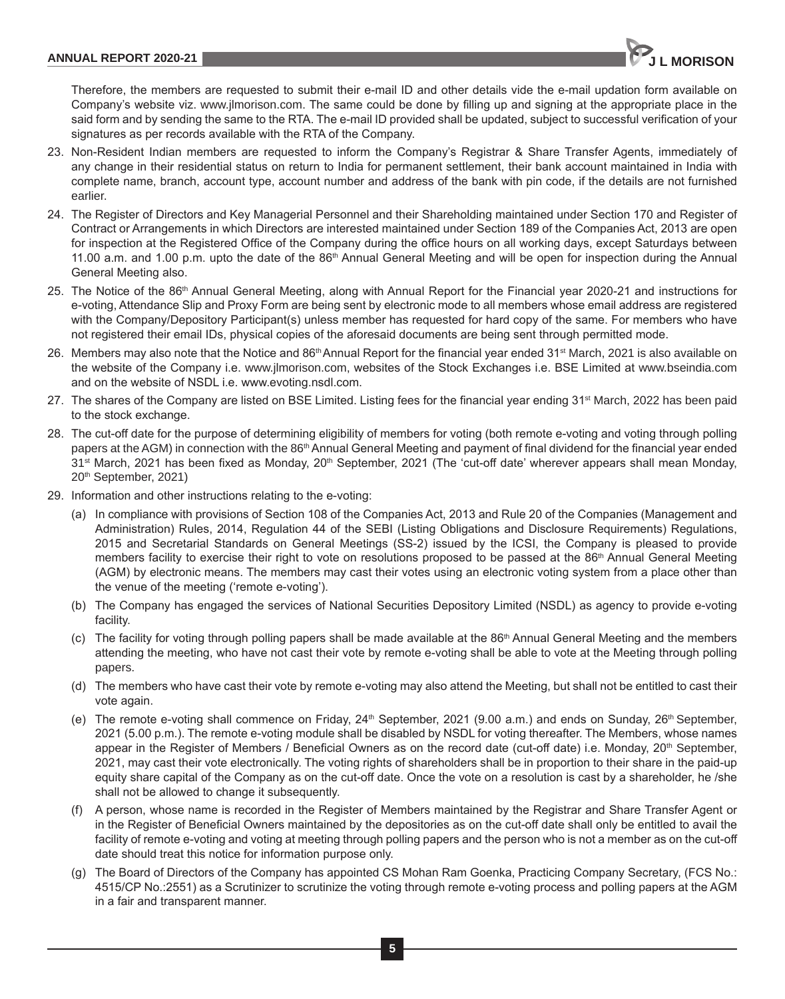Therefore, the members are requested to submit their e-mail ID and other details vide the e-mail updation form available on Company's website viz. www.jlmorison.com. The same could be done by filling up and signing at the appropriate place in the said form and by sending the same to the RTA. The e-mail ID provided shall be updated, subject to successful verification of your signatures as per records available with the RTA of the Company.

- 23. Non-Resident Indian members are requested to inform the Company's Registrar & Share Transfer Agents, immediately of any change in their residential status on return to India for permanent settlement, their bank account maintained in India with complete name, branch, account type, account number and address of the bank with pin code, if the details are not furnished earlier.
- 24. The Register of Directors and Key Managerial Personnel and their Shareholding maintained under Section 170 and Register of Contract or Arrangements in which Directors are interested maintained under Section 189 of the Companies Act, 2013 are open for inspection at the Registered Office of the Company during the office hours on all working days, except Saturdays between 11.00 a.m. and 1.00 p.m. upto the date of the 86<sup>th</sup> Annual General Meeting and will be open for inspection during the Annual General Meeting also.
- 25. The Notice of the 86th Annual General Meeting, along with Annual Report for the Financial year 2020-21 and instructions for e-voting, Attendance Slip and Proxy Form are being sent by electronic mode to all members whose email address are registered with the Company/Depository Participant(s) unless member has requested for hard copy of the same. For members who have not registered their email IDs, physical copies of the aforesaid documents are being sent through permitted mode.
- 26. Members may also note that the Notice and 86<sup>th</sup> Annual Report for the financial year ended 31<sup>st</sup> March, 2021 is also available on the website of the Company i.e. www.jlmorison.com, websites of the Stock Exchanges i.e. BSE Limited at www.bseindia.com and on the website of NSDL i.e. www.evoting.nsdl.com.
- 27. The shares of the Company are listed on BSE Limited. Listing fees for the financial year ending 31<sup>st</sup> March, 2022 has been paid to the stock exchange.
- 28. The cut-off date for the purpose of determining eligibility of members for voting (both remote e-voting and voting through polling papers at the AGM) in connection with the 86<sup>th</sup> Annual General Meeting and payment of final dividend for the financial year ended  $31<sup>st</sup>$  March, 2021 has been fixed as Monday, 20<sup>th</sup> September, 2021 (The 'cut-off date' wherever appears shall mean Monday, 20th September, 2021)
- 29. Information and other instructions relating to the e-voting:
	- (a) In compliance with provisions of Section 108 of the Companies Act, 2013 and Rule 20 of the Companies (Management and Administration) Rules, 2014, Regulation 44 of the SEBI (Listing Obligations and Disclosure Requirements) Regulations, 2015 and Secretarial Standards on General Meetings (SS-2) issued by the ICSI, the Company is pleased to provide members facility to exercise their right to vote on resolutions proposed to be passed at the 86<sup>th</sup> Annual General Meeting (AGM) by electronic means. The members may cast their votes using an electronic voting system from a place other than the venue of the meeting ('remote e-voting').
	- (b) The Company has engaged the services of National Securities Depository Limited (NSDL) as agency to provide e-voting facility.
	- (c) The facility for voting through polling papers shall be made available at the  $86<sup>th</sup>$  Annual General Meeting and the members attending the meeting, who have not cast their vote by remote e-voting shall be able to vote at the Meeting through polling papers.
	- (d) The members who have cast their vote by remote e-voting may also attend the Meeting, but shall not be entitled to cast their vote again.
	- (e) The remote e-voting shall commence on Friday,  $24<sup>th</sup>$  September, 2021 (9.00 a.m.) and ends on Sunday,  $26<sup>th</sup>$  September, 2021 (5.00 p.m.). The remote e-voting module shall be disabled by NSDL for voting thereafter. The Members, whose names appear in the Register of Members / Beneficial Owners as on the record date (cut-off date) i.e. Monday, 20<sup>th</sup> September, 2021, may cast their vote electronically. The voting rights of shareholders shall be in proportion to their share in the paid-up equity share capital of the Company as on the cut-off date. Once the vote on a resolution is cast by a shareholder, he /she shall not be allowed to change it subsequently.
	- (f) A person, whose name is recorded in the Register of Members maintained by the Registrar and Share Transfer Agent or in the Register of Beneficial Owners maintained by the depositories as on the cut-off date shall only be entitled to avail the facility of remote e-voting and voting at meeting through polling papers and the person who is not a member as on the cut-off date should treat this notice for information purpose only.
	- (g) The Board of Directors of the Company has appointed CS Mohan Ram Goenka, Practicing Company Secretary, (FCS No.: 4515/CP No.:2551) as a Scrutinizer to scrutinize the voting through remote e-voting process and polling papers at the AGM in a fair and transparent manner.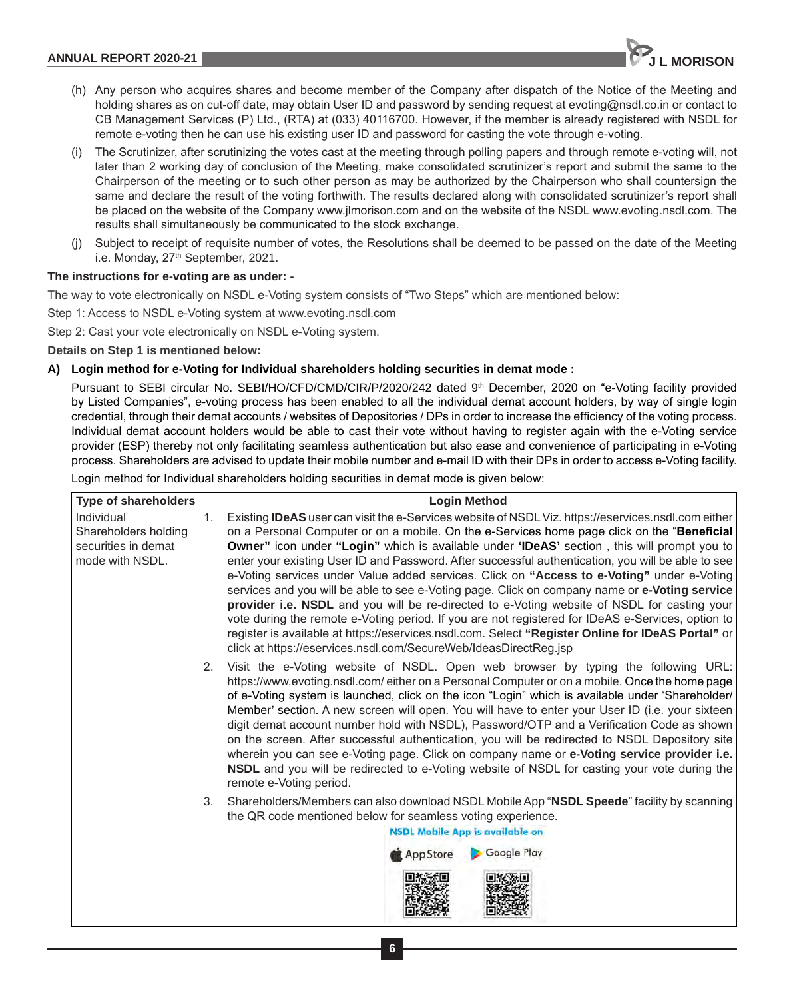- (h) Any person who acquires shares and become member of the Company after dispatch of the Notice of the Meeting and holding shares as on cut-off date, may obtain User ID and password by sending request at evoting@nsdl.co.in or contact to CB Management Services (P) Ltd., (RTA) at (033) 40116700. However, if the member is already registered with NSDL for remote e-voting then he can use his existing user ID and password for casting the vote through e-voting.
- (i) The Scrutinizer, after scrutinizing the votes cast at the meeting through polling papers and through remote e-voting will, not later than 2 working day of conclusion of the Meeting, make consolidated scrutinizer's report and submit the same to the Chairperson of the meeting or to such other person as may be authorized by the Chairperson who shall countersign the same and declare the result of the voting forthwith. The results declared along with consolidated scrutinizer's report shall be placed on the website of the Company www.jlmorison.com and on the website of the NSDL www.evoting.nsdl.com. The results shall simultaneously be communicated to the stock exchange.
- Subject to receipt of requisite number of votes, the Resolutions shall be deemed to be passed on the date of the Meeting i.e. Monday, 27<sup>th</sup> September, 2021.

### **The instructions for e-voting are as under: -**

The way to vote electronically on NSDL e-Voting system consists of "Two Steps" which are mentioned below:

Step 1: Access to NSDL e-Voting system at www.evoting.nsdl.com

Step 2: Cast your vote electronically on NSDL e-Voting system.

**Details on Step 1 is mentioned below:**

#### **A) Login method for e-Voting for Individual shareholders holding securities in demat mode :**

Pursuant to SEBI circular No. SEBI/HO/CFD/CMD/CIR/P/2020/242 dated 9th December, 2020 on "e-Voting facility provided by Listed Companies", e-voting process has been enabled to all the individual demat account holders, by way of single login credential, through their demat accounts / websites of Depositories / DPs in order to increase the efficiency of the voting process. Individual demat account holders would be able to cast their vote without having to register again with the e-Voting service provider (ESP) thereby not only facilitating seamless authentication but also ease and convenience of participating in e-Voting process. Shareholders are advised to update their mobile number and e-mail ID with their DPs in order to access e-Voting facility.

Login method for Individual shareholders holding securities in demat mode is given below:

| Type of shareholders                                                         | <b>Login Method</b>                                                                                                                                                                                                                                                                                                                                                                                                                                                                                                                                                                                                                                                                                                                                                                                                                                                                                                                                                                               |
|------------------------------------------------------------------------------|---------------------------------------------------------------------------------------------------------------------------------------------------------------------------------------------------------------------------------------------------------------------------------------------------------------------------------------------------------------------------------------------------------------------------------------------------------------------------------------------------------------------------------------------------------------------------------------------------------------------------------------------------------------------------------------------------------------------------------------------------------------------------------------------------------------------------------------------------------------------------------------------------------------------------------------------------------------------------------------------------|
| Individual<br>Shareholders holding<br>securities in demat<br>mode with NSDL. | Existing IDeAS user can visit the e-Services website of NSDL Viz. https://eservices.nsdl.com either<br>1.<br>on a Personal Computer or on a mobile. On the e-Services home page click on the "Beneficial<br><b>Owner</b> " icon under "Login" which is available under 'IDeAS' section, this will prompt you to<br>enter your existing User ID and Password. After successful authentication, you will be able to see<br>e-Voting services under Value added services. Click on "Access to e-Voting" under e-Voting<br>services and you will be able to see e-Voting page. Click on company name or e-Voting service<br>provider i.e. NSDL and you will be re-directed to e-Voting website of NSDL for casting your<br>vote during the remote e-Voting period. If you are not registered for IDeAS e-Services, option to<br>register is available at https://eservices.nsdl.com. Select "Register Online for IDeAS Portal" or<br>click at https://eservices.nsdl.com/SecureWeb/IdeasDirectReg.jsp |
|                                                                              | Visit the e-Voting website of NSDL. Open web browser by typing the following URL:<br>2.<br>https://www.evoting.nsdl.com/either on a Personal Computer or on a mobile. Once the home page<br>of e-Voting system is launched, click on the icon "Login" which is available under 'Shareholder/<br>Member' section. A new screen will open. You will have to enter your User ID (i.e. your sixteen<br>digit demat account number hold with NSDL), Password/OTP and a Verification Code as shown<br>on the screen. After successful authentication, you will be redirected to NSDL Depository site<br>wherein you can see e-Voting page. Click on company name or e-Voting service provider i.e.<br>NSDL and you will be redirected to e-Voting website of NSDL for casting your vote during the<br>remote e-Voting period.                                                                                                                                                                           |
|                                                                              | Shareholders/Members can also download NSDL Mobile App "NSDL Speede" facility by scanning<br>3.<br>the QR code mentioned below for seamless voting experience.<br><b>NSDL Mobile App is available on</b><br><b>Google Play</b><br><b>App Store</b>                                                                                                                                                                                                                                                                                                                                                                                                                                                                                                                                                                                                                                                                                                                                                |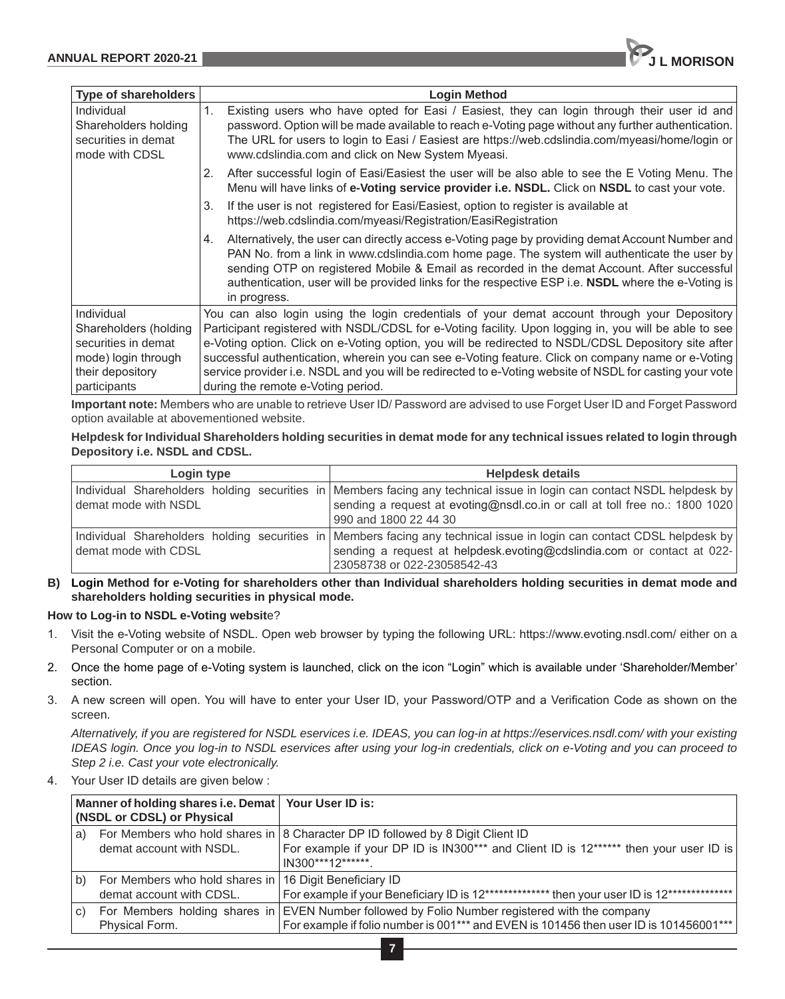| <b>Type of shareholders</b>                                                                                           | <b>Login Method</b>                                                                                                                                                                                                                                                                                                                                                                                                                                                                                                                                                  |
|-----------------------------------------------------------------------------------------------------------------------|----------------------------------------------------------------------------------------------------------------------------------------------------------------------------------------------------------------------------------------------------------------------------------------------------------------------------------------------------------------------------------------------------------------------------------------------------------------------------------------------------------------------------------------------------------------------|
| Individual<br>Shareholders holding<br>securities in demat<br>mode with CDSL                                           | 1.<br>Existing users who have opted for Easi / Easiest, they can login through their user id and<br>password. Option will be made available to reach e-Voting page without any further authentication.<br>The URL for users to login to Easi / Easiest are https://web.cdslindia.com/myeasi/home/login or<br>www.cdslindia.com and click on New System Myeasi.                                                                                                                                                                                                       |
|                                                                                                                       | 2. After successful login of Easi/Easiest the user will be also able to see the E Voting Menu. The<br>Menu will have links of e-Voting service provider i.e. NSDL. Click on NSDL to cast your vote.                                                                                                                                                                                                                                                                                                                                                                  |
|                                                                                                                       | 3.<br>If the user is not registered for Easi/Easiest, option to register is available at<br>https://web.cdslindia.com/myeasi/Registration/EasiRegistration                                                                                                                                                                                                                                                                                                                                                                                                           |
|                                                                                                                       | Alternatively, the user can directly access e-Voting page by providing demat Account Number and<br>4.<br>PAN No. from a link in www.cdslindia.com home page. The system will authenticate the user by<br>sending OTP on registered Mobile & Email as recorded in the demat Account. After successful<br>authentication, user will be provided links for the respective ESP i.e. <b>NSDL</b> where the e-Voting is<br>in progress.                                                                                                                                    |
| Individual<br>Shareholders (holding<br>securities in demat<br>mode) login through<br>their depository<br>participants | You can also login using the login credentials of your demat account through your Depository<br>Participant registered with NSDL/CDSL for e-Voting facility. Upon logging in, you will be able to see<br>e-Voting option. Click on e-Voting option, you will be redirected to NSDL/CDSL Depository site after<br>successful authentication, wherein you can see e-Voting feature. Click on company name or e-Voting<br>service provider i.e. NSDL and you will be redirected to e-Voting website of NSDL for casting your vote<br>during the remote e-Voting period. |

**Important note:** Members who are unable to retrieve User ID/ Password are advised to use Forget User ID and Forget Password option available at abovementioned website.

## **Helpdesk for Individual Shareholders holding securities in demat mode for any technical issues related to login through Depository i.e. NSDL and CDSL.**

| Login type           |  | <b>Helpdesk details</b> |                                                                                                                        |  |
|----------------------|--|-------------------------|------------------------------------------------------------------------------------------------------------------------|--|
|                      |  |                         | Individual Shareholders holding securities in Members facing any technical issue in login can contact NSDL helpdesk by |  |
| demat mode with NSDL |  |                         | sending a request at evoting@nsdl.co.in or call at toll free no.: 1800 1020                                            |  |
|                      |  | 990 and 1800 22 44 30   |                                                                                                                        |  |
|                      |  |                         | Individual Shareholders holding securities in Members facing any technical issue in login can contact CDSL helpdesk by |  |
| demat mode with CDSL |  |                         | sending a request at helpdesk.evoting@cdslindia.com or contact at 022-                                                 |  |
|                      |  |                         | 23058738 or 022-23058542-43                                                                                            |  |

**B) Login Method for e-Voting for shareholders other than Individual shareholders holding securities in demat mode and shareholders holding securities in physical mode.**

## **How to Log-in to NSDL e-Voting websit**e?

- 1. Visit the e-Voting website of NSDL. Open web browser by typing the following URL: https://www.evoting.nsdl.com/ either on a Personal Computer or on a mobile.
- 2. Once the home page of e-Voting system is launched, click on the icon "Login" which is available under 'Shareholder/Member' section.
- 3. A new screen will open. You will have to enter your User ID, your Password/OTP and a Verification Code as shown on the screen.

*Alternatively, if you are registered for NSDL eservices i.e. IDEAS, you can log-in at https://eservices.nsdl.com/ with your existing IDEAS login. Once you log-in to NSDL eservices after using your log-in credentials, click on e-Voting and you can proceed to Step 2 i.e. Cast your vote electronically.*

4. Your User ID details are given below :

|    | Manner of holding shares i.e. Demat Your User ID is:<br>(NSDL or CDSL) or Physical |                                                                                                                                                           |
|----|------------------------------------------------------------------------------------|-----------------------------------------------------------------------------------------------------------------------------------------------------------|
| a) |                                                                                    | For Members who hold shares in 8 Character DP ID followed by 8 Digit Client ID                                                                            |
|    | demat account with NSDL.                                                           | For example if your DP ID is IN300*** and Client ID is 12****** then your user ID is<br>IN300***12*******                                                 |
| b) | For Members who hold shares in 16 Digit Beneficiary ID                             |                                                                                                                                                           |
|    | demat account with CDSL.                                                           | For example if your Beneficiary ID is 12************** then your user ID is 12***************                                                             |
| C) | For Members holding shares in<br>Physical Form.                                    | EVEN Number followed by Folio Number registered with the company<br>For example if folio number is 001*** and EVEN is 101456 then user ID is 101456001*** |

**7**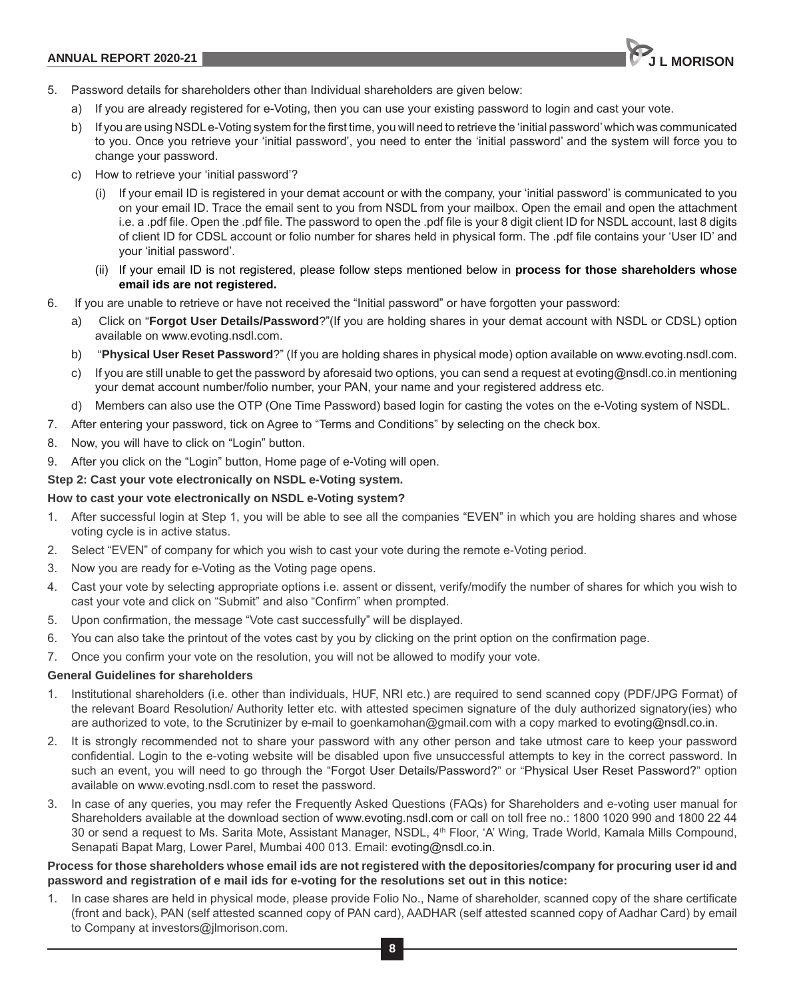

- 5. Password details for shareholders other than Individual shareholders are given below:
	- a) If you are already registered for e-Voting, then you can use your existing password to login and cast your vote.
	- b) If you are using NSDL e-Voting system for the first time, you will need to retrieve the 'initial password' which was communicated to you. Once you retrieve your 'initial password', you need to enter the 'initial password' and the system will force you to change your password.
	- c) How to retrieve your 'initial password'?
		- (i) If your email ID is registered in your demat account or with the company, your 'initial password' is communicated to you on your email ID. Trace the email sent to you from NSDL from your mailbox. Open the email and open the attachment i.e. a .pdf file. Open the .pdf file. The password to open the .pdf file is your 8 digit client ID for NSDL account, last 8 digits of client ID for CDSL account or folio number for shares held in physical form. The .pdf file contains your 'User ID' and your 'initial password'.
		- (ii) If your email ID is not registered, please follow steps mentioned below in **process for those shareholders whose email ids are not registered.**
- 6. If you are unable to retrieve or have not received the "Initial password" or have forgotten your password:
	- a) Click on "**Forgot User Details/Password**?"(If you are holding shares in your demat account with NSDL or CDSL) option available on www.evoting.nsdl.com.
	- b) "**Physical User Reset Password**?" (If you are holding shares in physical mode) option available on www.evoting.nsdl.com.
	- c) If you are still unable to get the password by aforesaid two options, you can send a request at evoting@nsdl.co.in mentioning your demat account number/folio number, your PAN, your name and your registered address etc.
	- d) Members can also use the OTP (One Time Password) based login for casting the votes on the e-Voting system of NSDL.
- 7. After entering your password, tick on Agree to "Terms and Conditions" by selecting on the check box.
- 8. Now, you will have to click on "Login" button.
- 9. After you click on the "Login" button, Home page of e-Voting will open.

## **Step 2: Cast your vote electronically on NSDL e-Voting system.**

### **How to cast your vote electronically on NSDL e-Voting system?**

- 1. After successful login at Step 1, you will be able to see all the companies "EVEN" in which you are holding shares and whose voting cycle is in active status.
- 2. Select "EVEN" of company for which you wish to cast your vote during the remote e-Voting period.
- 3. Now you are ready for e-Voting as the Voting page opens.
- 4. Cast your vote by selecting appropriate options i.e. assent or dissent, verify/modify the number of shares for which you wish to cast your vote and click on "Submit" and also "Confirm" when prompted.
- 5. Upon confirmation, the message "Vote cast successfully" will be displayed.
- 6. You can also take the printout of the votes cast by you by clicking on the print option on the confirmation page.
- 7. Once you confirm your vote on the resolution, you will not be allowed to modify your vote.

## **General Guidelines for shareholders**

- 1. Institutional shareholders (i.e. other than individuals, HUF, NRI etc.) are required to send scanned copy (PDF/JPG Format) of the relevant Board Resolution/ Authority letter etc. with attested specimen signature of the duly authorized signatory(ies) who are authorized to vote, to the Scrutinizer by e-mail to goenkamohan@gmail.com with a copy marked to evoting@nsdl.co.in.
- 2. It is strongly recommended not to share your password with any other person and take utmost care to keep your password confidential. Login to the e-voting website will be disabled upon five unsuccessful attempts to key in the correct password. In such an event, you will need to go through the "Forgot User Details/Password?" or "Physical User Reset Password?" option available on www.evoting.nsdl.com to reset the password.
- 3. In case of any queries, you may refer the Frequently Asked Questions (FAQs) for Shareholders and e-voting user manual for Shareholders available at the download section of www.evoting.nsdl.com or call on toll free no.: 1800 1020 990 and 1800 22 44 30 or send a request to Ms. Sarita Mote, Assistant Manager, NSDL, 4th Floor, 'A' Wing, Trade World, Kamala Mills Compound, Senapati Bapat Marg, Lower Parel, Mumbai 400 013. Email: evoting@nsdl.co.in.

## **Process for those shareholders whose email ids are not registered with the depositories/company for procuring user id and password and registration of e mail ids for e-voting for the resolutions set out in this notice:**

1. In case shares are held in physical mode, please provide Folio No., Name of shareholder, scanned copy of the share certificate (front and back), PAN (self attested scanned copy of PAN card), AADHAR (self attested scanned copy of Aadhar Card) by email to Company at investors@jlmorison.com.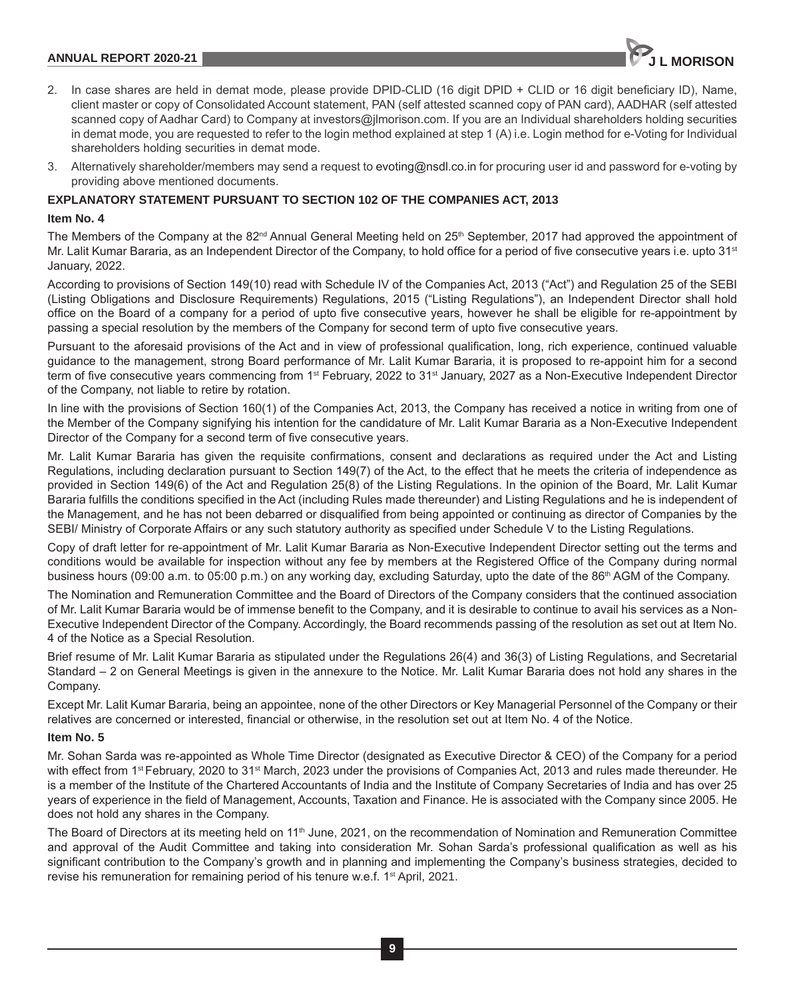## **ANNUAL REPORT 2020-21 J L MORISON**

- 2. In case shares are held in demat mode, please provide DPID-CLID (16 digit DPID + CLID or 16 digit beneficiary ID), Name, client master or copy of Consolidated Account statement, PAN (self attested scanned copy of PAN card), AADHAR (self attested scanned copy of Aadhar Card) to Company at investors@jlmorison.com. If you are an Individual shareholders holding securities in demat mode, you are requested to refer to the login method explained at step 1 (A) i.e. Login method for e-Voting for Individual shareholders holding securities in demat mode.
- 3. Alternatively shareholder/members may send a request to evoting@nsdl.co.in for procuring user id and password for e-voting by providing above mentioned documents.

#### **EXPLANATORY STATEMENT PURSUANT TO SECTION 102 OF THE COMPANIES ACT, 2013**

#### **Item No. 4**

The Members of the Company at the  $82^{nd}$  Annual General Meeting held on  $25^{th}$  September, 2017 had approved the appointment of Mr. Lalit Kumar Bararia, as an Independent Director of the Company, to hold office for a period of five consecutive years i.e. upto 31<sup>st</sup> January, 2022.

According to provisions of Section 149(10) read with Schedule IV of the Companies Act, 2013 ("Act") and Regulation 25 of the SEBI (Listing Obligations and Disclosure Requirements) Regulations, 2015 ("Listing Regulations"), an Independent Director shall hold office on the Board of a company for a period of upto five consecutive years, however he shall be eligible for re-appointment by passing a special resolution by the members of the Company for second term of upto five consecutive years.

Pursuant to the aforesaid provisions of the Act and in view of professional qualification, long, rich experience, continued valuable guidance to the management, strong Board performance of Mr. Lalit Kumar Bararia, it is proposed to re-appoint him for a second term of five consecutive years commencing from 1<sup>st</sup> February, 2022 to 31<sup>st</sup> January, 2027 as a Non-Executive Independent Director of the Company, not liable to retire by rotation.

In line with the provisions of Section 160(1) of the Companies Act, 2013, the Company has received a notice in writing from one of the Member of the Company signifying his intention for the candidature of Mr. Lalit Kumar Bararia as a Non-Executive Independent Director of the Company for a second term of five consecutive years.

Mr. Lalit Kumar Bararia has given the requisite confirmations, consent and declarations as required under the Act and Listing Regulations, including declaration pursuant to Section 149(7) of the Act, to the effect that he meets the criteria of independence as provided in Section 149(6) of the Act and Regulation 25(8) of the Listing Regulations. In the opinion of the Board, Mr. Lalit Kumar Bararia fulfills the conditions specified in the Act (including Rules made thereunder) and Listing Regulations and he is independent of the Management, and he has not been debarred or disqualified from being appointed or continuing as director of Companies by the SEBI/ Ministry of Corporate Affairs or any such statutory authority as specified under Schedule V to the Listing Regulations.

Copy of draft letter for re-appointment of Mr. Lalit Kumar Bararia as Non-Executive Independent Director setting out the terms and conditions would be available for inspection without any fee by members at the Registered Office of the Company during normal business hours (09:00 a.m. to 05:00 p.m.) on any working day, excluding Saturday, upto the date of the 86<sup>th</sup> AGM of the Company.

The Nomination and Remuneration Committee and the Board of Directors of the Company considers that the continued association of Mr. Lalit Kumar Bararia would be of immense benefit to the Company, and it is desirable to continue to avail his services as a Non-Executive Independent Director of the Company. Accordingly, the Board recommends passing of the resolution as set out at Item No. 4 of the Notice as a Special Resolution.

Brief resume of Mr. Lalit Kumar Bararia as stipulated under the Regulations 26(4) and 36(3) of Listing Regulations, and Secretarial Standard – 2 on General Meetings is given in the annexure to the Notice. Mr. Lalit Kumar Bararia does not hold any shares in the Company.

Except Mr. Lalit Kumar Bararia, being an appointee, none of the other Directors or Key Managerial Personnel of the Company or their relatives are concerned or interested, financial or otherwise, in the resolution set out at Item No. 4 of the Notice.

### **Item No. 5**

Mr. Sohan Sarda was re-appointed as Whole Time Director (designated as Executive Director & CEO) of the Company for a period with effect from 1<sup>st</sup> February, 2020 to 31<sup>st</sup> March, 2023 under the provisions of Companies Act, 2013 and rules made thereunder. He is a member of the Institute of the Chartered Accountants of India and the Institute of Company Secretaries of India and has over 25 years of experience in the field of Management, Accounts, Taxation and Finance. He is associated with the Company since 2005. He does not hold any shares in the Company.

The Board of Directors at its meeting held on 11<sup>th</sup> June, 2021, on the recommendation of Nomination and Remuneration Committee and approval of the Audit Committee and taking into consideration Mr. Sohan Sarda's professional qualification as well as his significant contribution to the Company's growth and in planning and implementing the Company's business strategies, decided to revise his remuneration for remaining period of his tenure w.e.f. 1<sup>st</sup> April, 2021.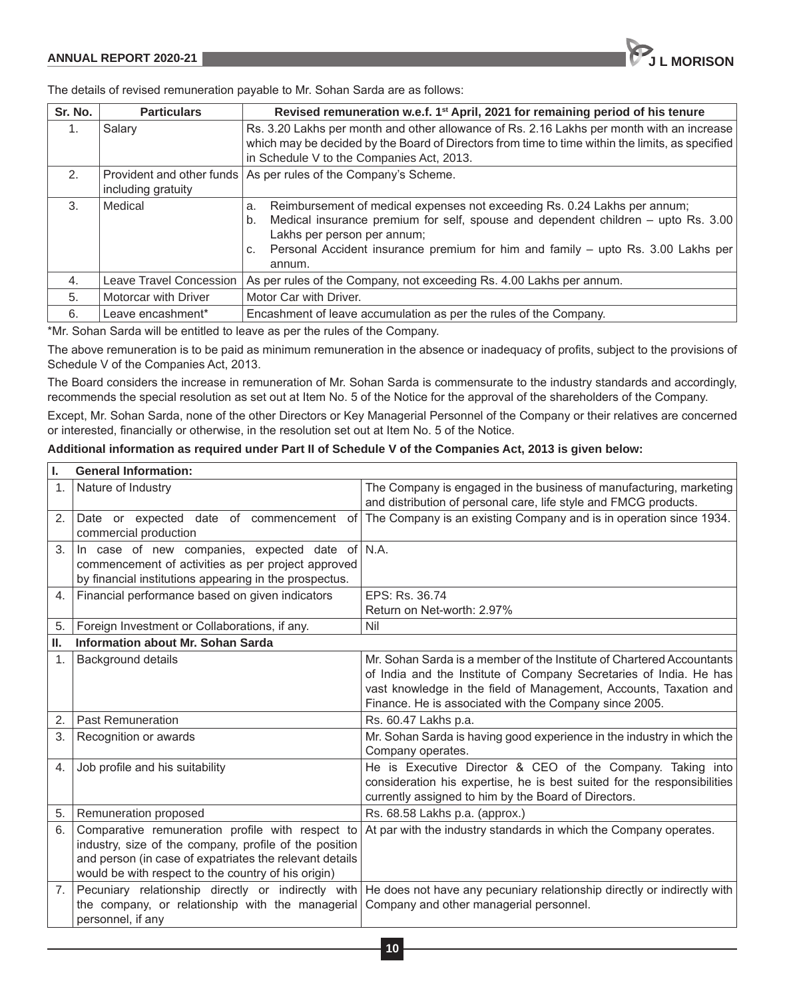

The details of revised remuneration payable to Mr. Sohan Sarda are as follows:

| Sr. No. | <b>Particulars</b>      | Revised remuneration w.e.f. 1 <sup>st</sup> April, 2021 for remaining period of his tenure                                                                                                                                                                                                                    |
|---------|-------------------------|---------------------------------------------------------------------------------------------------------------------------------------------------------------------------------------------------------------------------------------------------------------------------------------------------------------|
| 1.      | Salary                  | Rs. 3.20 Lakhs per month and other allowance of Rs. 2.16 Lakhs per month with an increase<br>which may be decided by the Board of Directors from time to time within the limits, as specified<br>in Schedule V to the Companies Act, 2013.                                                                    |
| 2.      | including gratuity      | Provident and other funds   As per rules of the Company's Scheme.                                                                                                                                                                                                                                             |
| 3.      | Medical                 | Reimbursement of medical expenses not exceeding Rs. 0.24 Lakhs per annum;<br>a.<br>Medical insurance premium for self, spouse and dependent children - upto Rs. 3.00<br>b.<br>Lakhs per person per annum;<br>Personal Accident insurance premium for him and family - upto Rs. 3.00 Lakhs per<br>C.<br>annum. |
| 4.      | Leave Travel Concession | As per rules of the Company, not exceeding Rs. 4.00 Lakhs per annum.                                                                                                                                                                                                                                          |
| 5.      | Motorcar with Driver    | Motor Car with Driver.                                                                                                                                                                                                                                                                                        |
| 6.      | Leave encashment*       | Encashment of leave accumulation as per the rules of the Company.                                                                                                                                                                                                                                             |

\*Mr. Sohan Sarda will be entitled to leave as per the rules of the Company.

The above remuneration is to be paid as minimum remuneration in the absence or inadequacy of profits, subject to the provisions of Schedule V of the Companies Act, 2013.

The Board considers the increase in remuneration of Mr. Sohan Sarda is commensurate to the industry standards and accordingly, recommends the special resolution as set out at Item No. 5 of the Notice for the approval of the shareholders of the Company.

Except, Mr. Sohan Sarda, none of the other Directors or Key Managerial Personnel of the Company or their relatives are concerned or interested, financially or otherwise, in the resolution set out at Item No. 5 of the Notice.

## **Additional information as required under Part II of Schedule V of the Companies Act, 2013 is given below:**

| ı.               | <b>General Information:</b>                                                                                                                                                                                                  |                                                                                                                                                                                                                                                                            |
|------------------|------------------------------------------------------------------------------------------------------------------------------------------------------------------------------------------------------------------------------|----------------------------------------------------------------------------------------------------------------------------------------------------------------------------------------------------------------------------------------------------------------------------|
| 1.               | Nature of Industry                                                                                                                                                                                                           | The Company is engaged in the business of manufacturing, marketing<br>and distribution of personal care, life style and FMCG products.                                                                                                                                     |
| 2.               | Date or expected date of commencement<br>of<br>commercial production                                                                                                                                                         | The Company is an existing Company and is in operation since 1934.                                                                                                                                                                                                         |
| 3.               | In case of new companies, expected date of $N.A$ .<br>commencement of activities as per project approved<br>by financial institutions appearing in the prospectus.                                                           |                                                                                                                                                                                                                                                                            |
| 4.               | Financial performance based on given indicators                                                                                                                                                                              | EPS: Rs. 36.74<br>Return on Net-worth: 2.97%                                                                                                                                                                                                                               |
| 5.               | Foreign Investment or Collaborations, if any.                                                                                                                                                                                | Nil                                                                                                                                                                                                                                                                        |
| Ш.               | Information about Mr. Sohan Sarda                                                                                                                                                                                            |                                                                                                                                                                                                                                                                            |
| $\mathbf 1$ .    | <b>Background details</b>                                                                                                                                                                                                    | Mr. Sohan Sarda is a member of the Institute of Chartered Accountants<br>of India and the Institute of Company Secretaries of India. He has<br>vast knowledge in the field of Management, Accounts, Taxation and<br>Finance. He is associated with the Company since 2005. |
| 2.               | <b>Past Remuneration</b>                                                                                                                                                                                                     | Rs. 60.47 Lakhs p.a.                                                                                                                                                                                                                                                       |
| 3.               | Recognition or awards                                                                                                                                                                                                        | Mr. Sohan Sarda is having good experience in the industry in which the<br>Company operates.                                                                                                                                                                                |
| $\overline{4}$ . | Job profile and his suitability                                                                                                                                                                                              | He is Executive Director & CEO of the Company. Taking into<br>consideration his expertise, he is best suited for the responsibilities<br>currently assigned to him by the Board of Directors.                                                                              |
| 5.               | Remuneration proposed                                                                                                                                                                                                        | Rs. 68.58 Lakhs p.a. (approx.)                                                                                                                                                                                                                                             |
|                  | Comparative remuneration profile with respect to<br>industry, size of the company, profile of the position<br>and person (in case of expatriates the relevant details<br>would be with respect to the country of his origin) | At par with the industry standards in which the Company operates.                                                                                                                                                                                                          |
| 7.               | the company, or relationship with the managerial Company and other managerial personnel.<br>personnel, if any                                                                                                                | Pecuniary relationship directly or indirectly with He does not have any pecuniary relationship directly or indirectly with                                                                                                                                                 |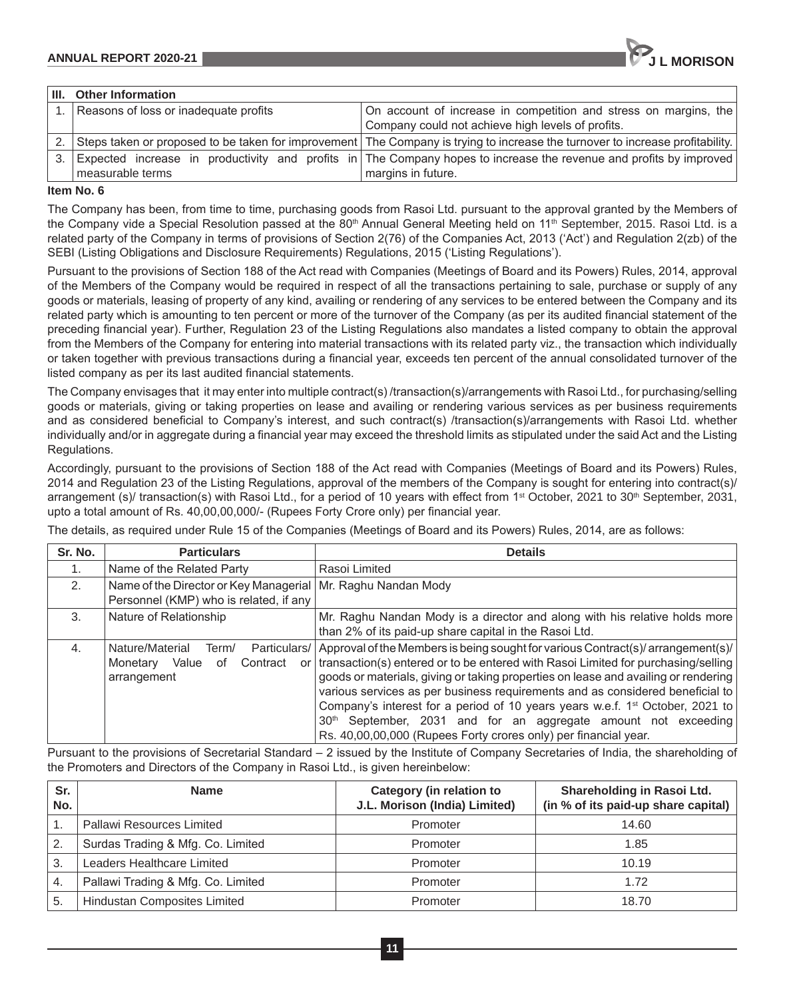| ' III. | <b>Other Information</b>              |                                                                                                                              |
|--------|---------------------------------------|------------------------------------------------------------------------------------------------------------------------------|
|        | Reasons of loss or inadequate profits | On account of increase in competition and stress on margins, the                                                             |
|        |                                       | Company could not achieve high levels of profits.                                                                            |
|        |                                       | Steps taken or proposed to be taken for improvement The Company is trying to increase the turnover to increase profitability |

| [3.] Expected increase in productivity and profits in The Company hopes to increase the revenue and profits by improved<br>margins in future.<br>measurable terms |  |
|-------------------------------------------------------------------------------------------------------------------------------------------------------------------|--|
|                                                                                                                                                                   |  |

## **Item No. 6**

The Company has been, from time to time, purchasing goods from Rasoi Ltd. pursuant to the approval granted by the Members of the Company vide a Special Resolution passed at the 80<sup>th</sup> Annual General Meeting held on 11<sup>th</sup> September, 2015. Rasoi Ltd. is a related party of the Company in terms of provisions of Section 2(76) of the Companies Act, 2013 ('Act') and Regulation 2(zb) of the SEBI (Listing Obligations and Disclosure Requirements) Regulations, 2015 ('Listing Regulations').

Pursuant to the provisions of Section 188 of the Act read with Companies (Meetings of Board and its Powers) Rules, 2014, approval of the Members of the Company would be required in respect of all the transactions pertaining to sale, purchase or supply of any goods or materials, leasing of property of any kind, availing or rendering of any services to be entered between the Company and its related party which is amounting to ten percent or more of the turnover of the Company (as per its audited financial statement of the preceding financial year). Further, Regulation 23 of the Listing Regulations also mandates a listed company to obtain the approval from the Members of the Company for entering into material transactions with its related party viz., the transaction which individually or taken together with previous transactions during a financial year, exceeds ten percent of the annual consolidated turnover of the listed company as per its last audited financial statements.

The Company envisages that it may enter into multiple contract(s) /transaction(s)/arrangements with Rasoi Ltd., for purchasing/selling goods or materials, giving or taking properties on lease and availing or rendering various services as per business requirements and as considered beneficial to Company's interest, and such contract(s) /transaction(s)/arrangements with Rasoi Ltd. whether individually and/or in aggregate during a financial year may exceed the threshold limits as stipulated under the said Act and the Listing Regulations.

Accordingly, pursuant to the provisions of Section 188 of the Act read with Companies (Meetings of Board and its Powers) Rules, 2014 and Regulation 23 of the Listing Regulations, approval of the members of the Company is sought for entering into contract(s)/ arrangement (s)/ transaction(s) with Rasoi Ltd., for a period of 10 years with effect from 1<sup>st</sup> October, 2021 to 30<sup>th</sup> September, 2031, upto a total amount of Rs. 40,00,00,000/- (Rupees Forty Crore only) per financial year.

The details, as required under Rule 15 of the Companies (Meetings of Board and its Powers) Rules, 2014, are as follows:

| Sr. No. | <b>Particulars</b>                                                                                       | <b>Details</b>                                                                                                                                                                                                                                                                                                                                                                                                                                                                                                                                                                                |  |
|---------|----------------------------------------------------------------------------------------------------------|-----------------------------------------------------------------------------------------------------------------------------------------------------------------------------------------------------------------------------------------------------------------------------------------------------------------------------------------------------------------------------------------------------------------------------------------------------------------------------------------------------------------------------------------------------------------------------------------------|--|
| 1.      | Name of the Related Party                                                                                | Rasoi Limited                                                                                                                                                                                                                                                                                                                                                                                                                                                                                                                                                                                 |  |
| 2.      | Name of the Director or Key Managerial   Mr. Raghu Nandan Mody<br>Personnel (KMP) who is related, if any |                                                                                                                                                                                                                                                                                                                                                                                                                                                                                                                                                                                               |  |
| 3.      | Nature of Relationship                                                                                   | Mr. Raghu Nandan Mody is a director and along with his relative holds more<br>than 2% of its paid-up share capital in the Rasoi Ltd.                                                                                                                                                                                                                                                                                                                                                                                                                                                          |  |
| 4.      | Nature/Material<br>Particulars/<br>Term/<br>Contract<br>Value<br>Monetarv<br>οf<br>or l<br>arrangement   | Approval of the Members is being sought for various Contract(s)/ arrangement(s)/<br>transaction(s) entered or to be entered with Rasoi Limited for purchasing/selling<br>goods or materials, giving or taking properties on lease and availing or rendering<br>various services as per business requirements and as considered beneficial to<br>Company's interest for a period of 10 years years w.e.f. 1 <sup>st</sup> October, 2021 to<br>September, 2031 and for an aggregate amount not exceeding<br>30 <sup>th</sup><br>Rs. 40,00,00,000 (Rupees Forty crores only) per financial year. |  |

Pursuant to the provisions of Secretarial Standard – 2 issued by the Institute of Company Secretaries of India, the shareholding of the Promoters and Directors of the Company in Rasoi Ltd., is given hereinbelow:

| Sr.<br>No.     | <b>Name</b>                        | Category (in relation to<br>J.L. Morison (India) Limited) | Shareholding in Rasoi Ltd.<br>(in % of its paid-up share capital) |
|----------------|------------------------------------|-----------------------------------------------------------|-------------------------------------------------------------------|
|                | Pallawi Resources Limited          | Promoter                                                  | 14.60                                                             |
| $\overline{2}$ | Surdas Trading & Mfg. Co. Limited  | Promoter                                                  | 1.85                                                              |
| 3.             | Leaders Healthcare Limited         | Promoter                                                  | 10.19                                                             |
| $\mathbf{A}$   | Pallawi Trading & Mfg. Co. Limited | Promoter                                                  | 1.72                                                              |
| 5.             | Hindustan Composites Limited       | Promoter                                                  | 18.70                                                             |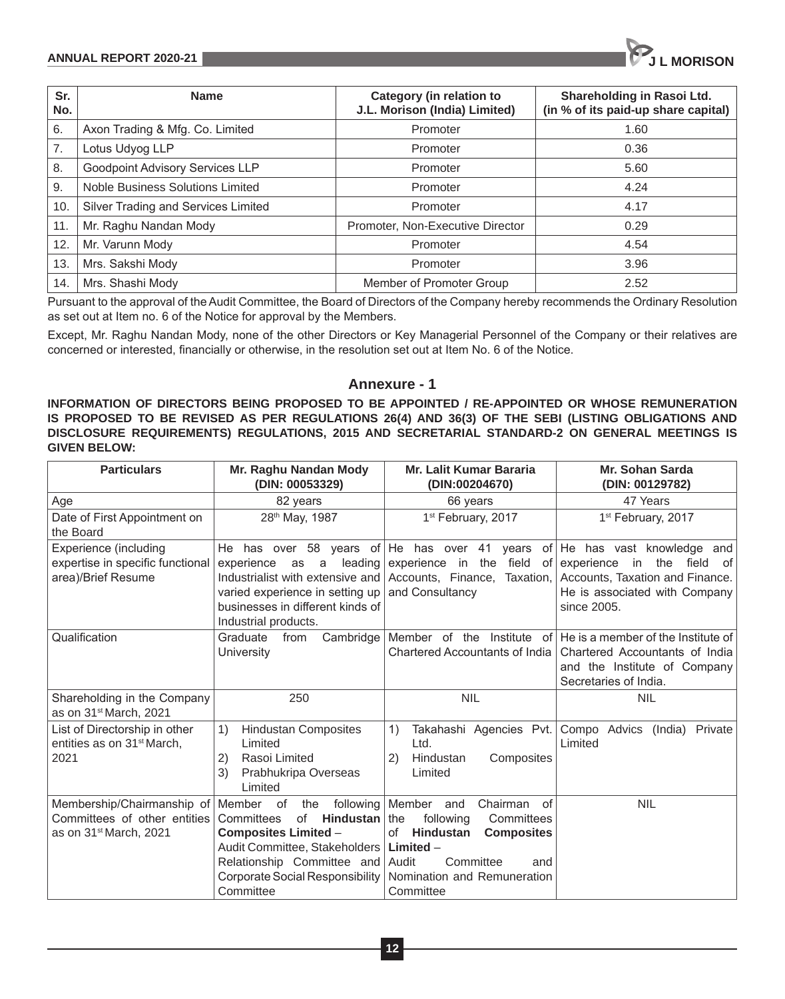| Sr.<br>No. | <b>Name</b>                            | <b>Category (in relation to</b><br>J.L. Morison (India) Limited) | Shareholding in Rasoi Ltd.<br>(in % of its paid-up share capital) |
|------------|----------------------------------------|------------------------------------------------------------------|-------------------------------------------------------------------|
| 6.         | Axon Trading & Mfg. Co. Limited        | Promoter                                                         | 1.60                                                              |
| 7.         | Lotus Udyog LLP                        | Promoter                                                         | 0.36                                                              |
| 8.         | <b>Goodpoint Advisory Services LLP</b> | Promoter                                                         | 5.60                                                              |
| 9.         | Noble Business Solutions Limited       | Promoter                                                         | 4.24                                                              |
| 10.        | Silver Trading and Services Limited    | Promoter                                                         | 4.17                                                              |
| 11.        | Mr. Raghu Nandan Mody                  | Promoter, Non-Executive Director                                 | 0.29                                                              |
| 12.        | Mr. Varunn Mody                        | Promoter                                                         | 4.54                                                              |
| 13.        | Mrs. Sakshi Mody                       | Promoter                                                         | 3.96                                                              |
| 14.        | Mrs. Shashi Mody                       | Member of Promoter Group                                         | 2.52                                                              |

Pursuant to the approval of the Audit Committee, the Board of Directors of the Company hereby recommends the Ordinary Resolution as set out at Item no. 6 of the Notice for approval by the Members.

Except, Mr. Raghu Nandan Mody, none of the other Directors or Key Managerial Personnel of the Company or their relatives are concerned or interested, financially or otherwise, in the resolution set out at Item No. 6 of the Notice.

# **Annexure - 1**

**INFORMATION OF DIRECTORS BEING PROPOSED TO BE APPOINTED / RE-APPOINTED OR WHOSE REMUNERATION IS PROPOSED TO BE REVISED AS PER REGULATIONS 26(4) AND 36(3) OF THE SEBI (LISTING OBLIGATIONS AND DISCLOSURE REQUIREMENTS) REGULATIONS, 2015 AND SECRETARIAL STANDARD-2 ON GENERAL MEETINGS IS GIVEN BELOW:**

| <b>Particulars</b>                                                                               | Mr. Raghu Nandan Mody<br>(DIN: 00053329)                                                                                                                                                                                                 | Mr. Lalit Kumar Bararia<br>(DIN:00204670)                                                                                                                          | Mr. Sohan Sarda<br>(DIN: 00129782)                                                                                            |
|--------------------------------------------------------------------------------------------------|------------------------------------------------------------------------------------------------------------------------------------------------------------------------------------------------------------------------------------------|--------------------------------------------------------------------------------------------------------------------------------------------------------------------|-------------------------------------------------------------------------------------------------------------------------------|
| Age                                                                                              | 82 years                                                                                                                                                                                                                                 | 66 years                                                                                                                                                           | 47 Years                                                                                                                      |
| Date of First Appointment on<br>the Board                                                        | 28th May, 1987                                                                                                                                                                                                                           | 1 <sup>st</sup> February, 2017                                                                                                                                     | 1st February, 2017                                                                                                            |
| Experience (including<br>expertise in specific functional<br>area)/Brief Resume                  | He has over 58 years of He has over 41 years<br>leading<br>experience<br>as<br>a<br>Industrialist with extensive and<br>varied experience in setting up<br>businesses in different kinds of<br>Industrial products.                      | experience in the field of experience in the<br>Accounts, Finance, Taxation,<br>and Consultancy                                                                    | of He has vast knowledge and<br>field of<br>Accounts, Taxation and Finance.<br>He is associated with Company<br>since 2005.   |
| Qualification                                                                                    | Graduate<br>Cambridge<br>from<br>University                                                                                                                                                                                              | Member of the Institute of<br>Chartered Accountants of India                                                                                                       | He is a member of the Institute of<br>Chartered Accountants of India<br>and the Institute of Company<br>Secretaries of India. |
| Shareholding in the Company<br>as on 31 <sup>st</sup> March, 2021                                | 250                                                                                                                                                                                                                                      | <b>NIL</b>                                                                                                                                                         | <b>NIL</b>                                                                                                                    |
| List of Directorship in other<br>entities as on 31 <sup>st</sup> March.<br>2021                  | <b>Hindustan Composites</b><br>1)<br>Limited<br>Rasoi Limited<br>2)<br>3)<br>Prabhukripa Overseas<br>Limited                                                                                                                             | Takahashi Agencies Pvt.<br>1)<br>Ltd.<br>Hindustan<br>Composites<br>2)<br>Limited                                                                                  | Compo Advics (India)<br>Private<br>Limited                                                                                    |
| Membership/Chairmanship of<br>Committees of other entities<br>as on 31 <sup>st</sup> March, 2021 | Member of<br>the<br>following<br>of <b>Hindustan</b>   the<br>Committees<br><b>Composites Limited -</b><br>Audit Committee, Stakeholders   Limited -<br>Relationship Committee and Audit<br>Corporate Social Responsibility<br>Committee | Member<br>Chairman<br>and<br>0f<br>following<br>Committees<br>of<br>Hindustan<br><b>Composites</b><br>Committee<br>and<br>Nomination and Remuneration<br>Committee | <b>NIL</b>                                                                                                                    |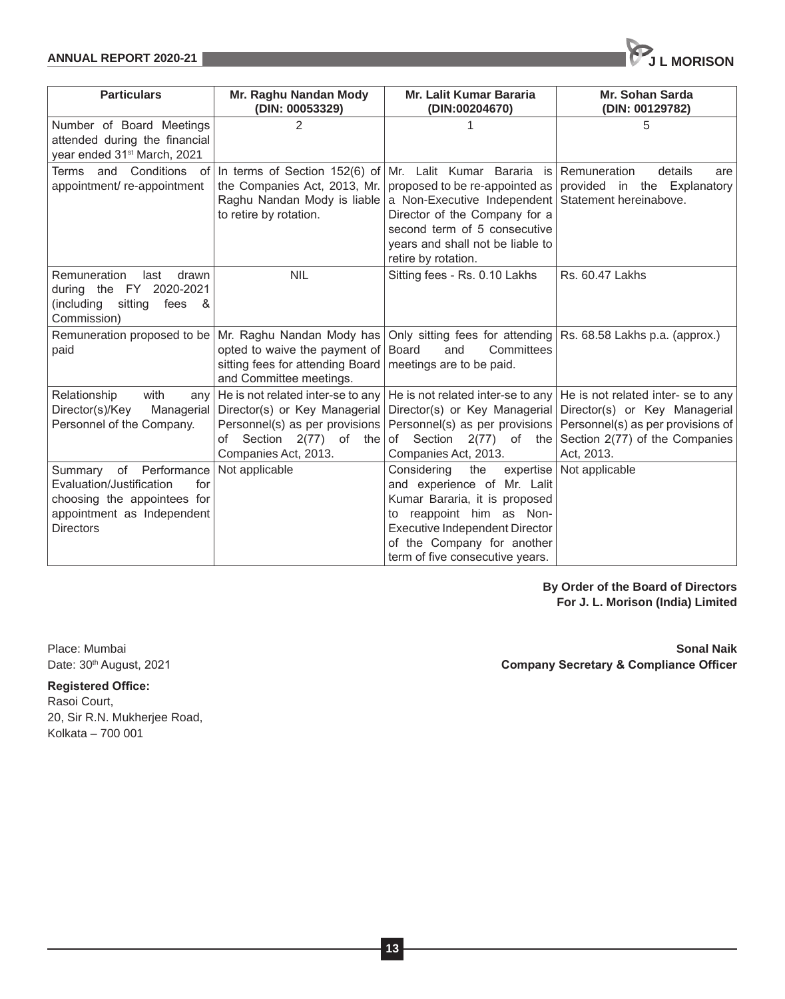| <b>Particulars</b>                                                                                                                            | Mr. Raghu Nandan Mody<br>(DIN: 00053329)                                                                                                                | <b>Mr. Lalit Kumar Bararia</b><br>(DIN:00204670)                                                                                                                                                                               | <b>Mr. Sohan Sarda</b><br>(DIN: 00129782)                                                                                                                |
|-----------------------------------------------------------------------------------------------------------------------------------------------|---------------------------------------------------------------------------------------------------------------------------------------------------------|--------------------------------------------------------------------------------------------------------------------------------------------------------------------------------------------------------------------------------|----------------------------------------------------------------------------------------------------------------------------------------------------------|
| Number of Board Meetings<br>attended during the financial<br>year ended 31 <sup>st</sup> March, 2021                                          | 2                                                                                                                                                       |                                                                                                                                                                                                                                | 5                                                                                                                                                        |
| Terms and Conditions of<br>appointment/re-appointment                                                                                         | In terms of Section $152(6)$ of<br>the Companies Act, 2013, Mr.<br>Raghu Nandan Mody is liable<br>to retire by rotation.                                | Mr. Lalit Kumar Bararia is Remuneration<br>a Non-Executive Independent Statement hereinabove.<br>Director of the Company for a<br>second term of 5 consecutive<br>years and shall not be liable to<br>retire by rotation.      | details<br>are<br>proposed to be re-appointed as provided in the Explanatory                                                                             |
| Remuneration<br>drawn<br>last<br>during the FY 2020-2021<br>(including<br>sitting<br>fees<br>- &<br>Commission)                               | <b>NIL</b>                                                                                                                                              | Sitting fees - Rs. 0.10 Lakhs                                                                                                                                                                                                  | Rs. 60.47 Lakhs                                                                                                                                          |
| Remuneration proposed to be<br>paid                                                                                                           | Mr. Raghu Nandan Mody has<br>opted to waive the payment of Board<br>sitting fees for attending Board<br>and Committee meetings.                         | Only sitting fees for attending<br>Committees<br>and<br>meetings are to be paid.                                                                                                                                               | Rs. 68.58 Lakhs p.a. (approx.)                                                                                                                           |
| Relationship<br>with<br>any<br>Director(s)/Key<br>Managerial<br>Personnel of the Company.                                                     | He is not related inter-se to any<br>Director(s) or Key Managerial<br>Personnel(s) as per provisions<br>of Section 2(77) of the<br>Companies Act, 2013. | He is not related inter-se to any<br>Director(s) or Key Managerial<br>Personnel(s) as per provisions<br>of Section 2(77) of the<br>Companies Act, 2013.                                                                        | He is not related inter- se to any<br>Director(s) or Key Managerial<br>Personnel(s) as per provisions of<br>Section 2(77) of the Companies<br>Act, 2013. |
| Summary<br>of Performance<br>Evaluation/Justification<br>for<br>choosing the appointees for<br>appointment as Independent<br><b>Directors</b> | Not applicable                                                                                                                                          | the<br>expertise<br>Considering<br>and experience of Mr. Lalit<br>Kumar Bararia, it is proposed<br>to reappoint him as Non-<br>Executive Independent Director<br>of the Company for another<br>term of five consecutive years. | Not applicable                                                                                                                                           |

**By Order of the Board of Directors For J. L. Morison (India) Limited**

**Registered Office:** Rasoi Court, 20, Sir R.N. Mukherjee Road, Kolkata – 700 001

Place: Mumbai **Sonal Naik** Date: 30<sup>th</sup> August, 2021 **Company Secretary & Compliance Officer** 

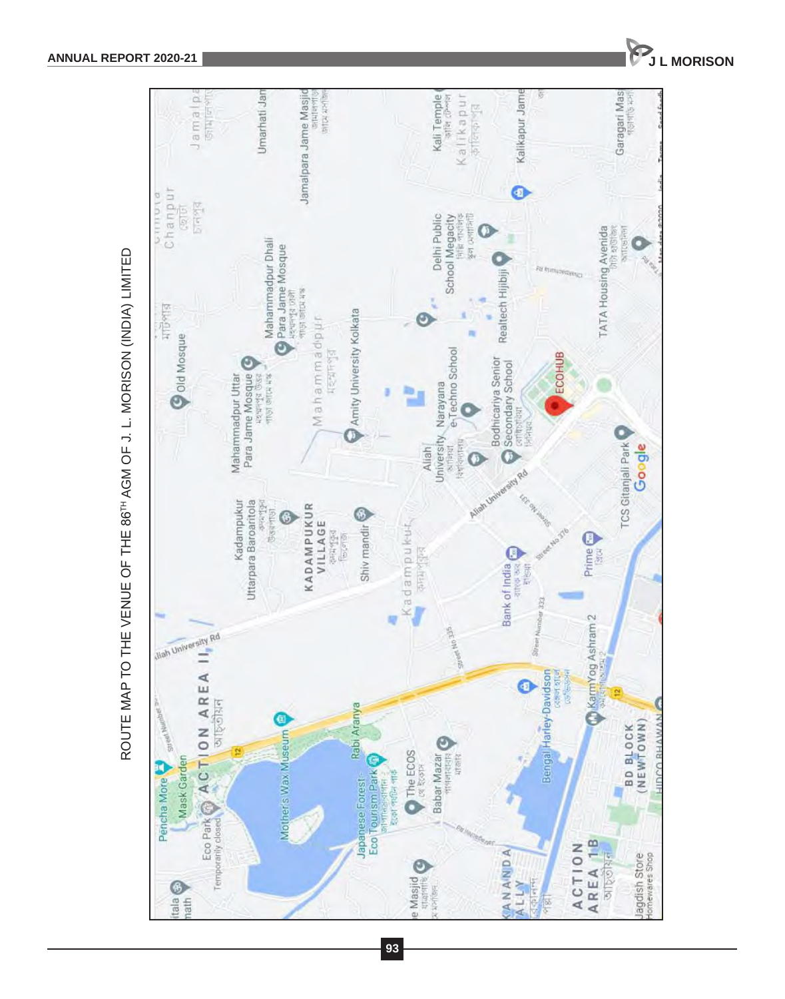

**93**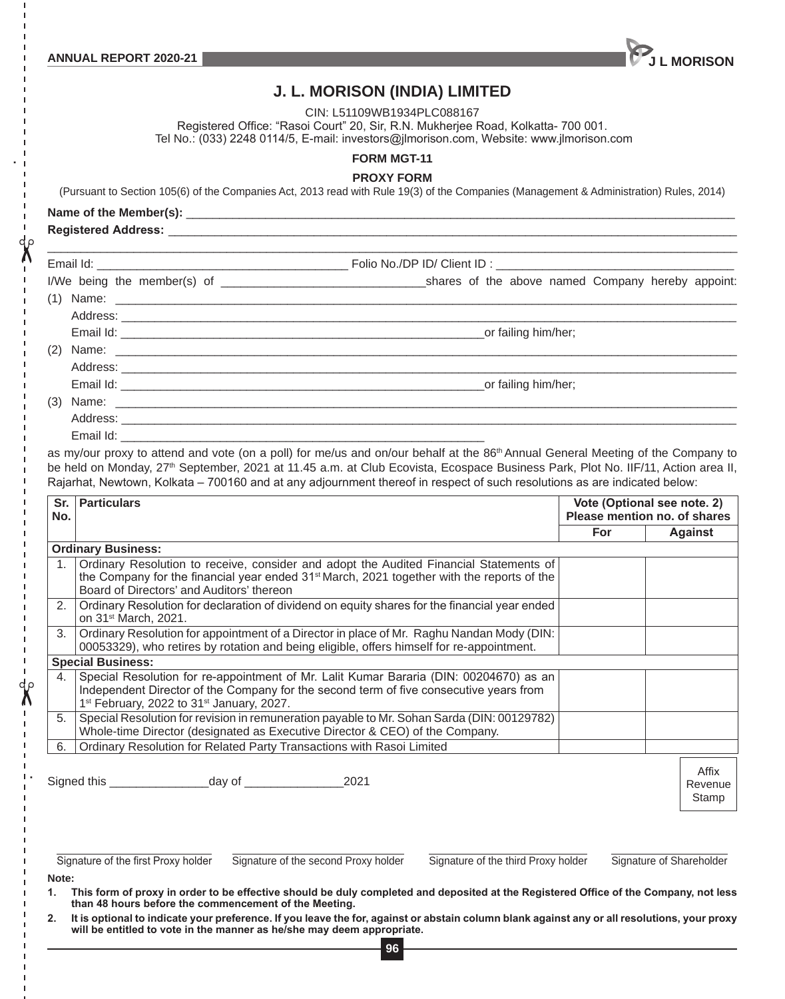

# **J. L. MORISON (INDIA) LIMITED**

CIN: L51109WB1934PLC088167

Registered Office: "Rasoi Court" 20, Sir, R.N. Mukherjee Road, Kolkatta- 700 001.

Tel No.: (033) 2248 0114/5, E-mail: investors@jlmorison.com, Website: www.jlmorison.com

**FORM MGT-11**

#### **PROXY FORM**

(Pursuant to Section 105(6) of the Companies Act, 2013 read with Rule 19(3) of the Companies (Management & Administration) Rules, 2014)

Name of the Member(s):

**Registered Address:** \_\_\_\_\_\_\_\_\_\_\_\_\_\_\_\_\_\_\_\_\_\_\_\_\_\_\_\_\_\_\_\_\_\_\_\_\_\_\_\_\_\_\_\_\_\_\_\_\_\_\_\_\_\_\_\_\_\_\_\_\_\_\_\_\_\_\_\_\_\_\_\_\_\_\_\_\_\_\_\_\_\_\_\_\_\_

|                         | _or failing him/her; |
|-------------------------|----------------------|
|                         |                      |
| Address: ______________ |                      |

Email Id:

 $\chi$ 

as my/our proxy to attend and vote (on a poll) for me/us and on/our behalf at the 86<sup>th</sup> Annual General Meeting of the Company to be held on Monday, 27<sup>th</sup> September, 2021 at 11.45 a.m. at Club Ecovista, Ecospace Business Park, Plot No. IIF/11, Action area II, Rajarhat, Newtown, Kolkata – 700160 and at any adjournment thereof in respect of such resolutions as are indicated below:

| Sr.<br>No.  | <b>Particulars</b>                                                                                                                                                                                                                                    | Vote (Optional see note. 2)<br>Please mention no. of shares |                           |
|-------------|-------------------------------------------------------------------------------------------------------------------------------------------------------------------------------------------------------------------------------------------------------|-------------------------------------------------------------|---------------------------|
|             |                                                                                                                                                                                                                                                       | For                                                         | Against                   |
|             | <b>Ordinary Business:</b>                                                                                                                                                                                                                             |                                                             |                           |
| $1_{\cdot}$ | Ordinary Resolution to receive, consider and adopt the Audited Financial Statements of<br>the Company for the financial year ended $31^{st}$ March, 2021 together with the reports of the<br>Board of Directors' and Auditors' thereon                |                                                             |                           |
| 2.          | Ordinary Resolution for declaration of dividend on equity shares for the financial year ended<br>on 31 <sup>st</sup> March, 2021.                                                                                                                     |                                                             |                           |
| 3.          | Ordinary Resolution for appointment of a Director in place of Mr. Raghu Nandan Mody (DIN:<br>00053329), who retires by rotation and being eligible, offers himself for re-appointment.                                                                |                                                             |                           |
|             | <b>Special Business:</b>                                                                                                                                                                                                                              |                                                             |                           |
| 4.          | Special Resolution for re-appointment of Mr. Lalit Kumar Bararia (DIN: 00204670) as an<br>Independent Director of the Company for the second term of five consecutive years from<br>1 <sup>st</sup> February, 2022 to 31 <sup>st</sup> January, 2027. |                                                             |                           |
| 5.          | Special Resolution for revision in remuneration payable to Mr. Sohan Sarda (DIN: 00129782)<br>Whole-time Director (designated as Executive Director & CEO) of the Company.                                                                            |                                                             |                           |
| 6.          | Ordinary Resolution for Related Party Transactions with Rasoi Limited                                                                                                                                                                                 |                                                             |                           |
|             | 2021                                                                                                                                                                                                                                                  |                                                             | Affix<br>Revenue<br>Stamp |

Signature of the first Proxy holder Signature of the second Proxy holder Signature of the third Proxy holder Signature of Shareholder

**Note:** 

**1. This form of proxy in order to be effective should be duly completed and deposited at the Registered Office of the Company, not less than 48 hours before the commencement of the Meeting.**

**96 2. It is optional to indicate your preference. If you leave the for, against or abstain column blank against any or all resolutions, your proxy will be entitled to vote in the manner as he/she may deem appropriate.**